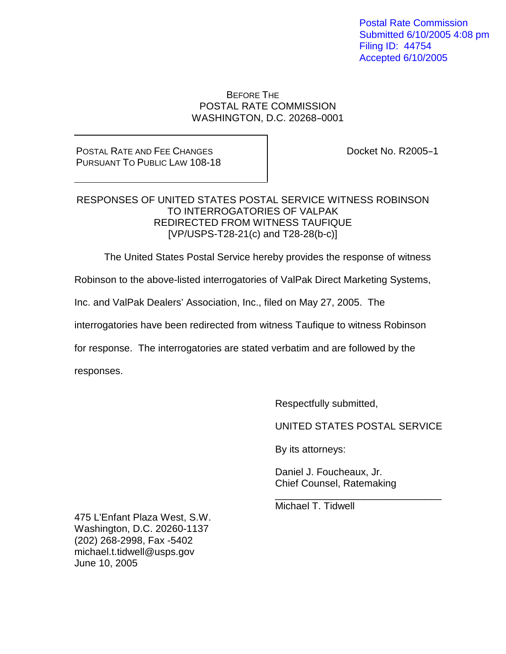Postal Rate Commission Submitted 6/10/2005 4:08 pm Filing ID: 44754 Accepted 6/10/2005

#### BEFORE THE POSTAL RATE COMMISSION WASHINGTON, D.C. 20268-0001

### POSTAL RATE AND FEE CHANGES PURSUANT TO PUBLIC LAW 108-18

Docket No. R2005-1

### RESPONSES OF UNITED STATES POSTAL SERVICE WITNESS ROBINSON TO INTERROGATORIES OF VALPAK REDIRECTED FROM WITNESS TAUFIQUE [VP/USPS-T28-21(c) and T28-28(b-c)]

The United States Postal Service hereby provides the response of witness

Robinson to the above-listed interrogatories of ValPak Direct Marketing Systems,

Inc. and ValPak Dealers' Association, Inc., filed on May 27, 2005. The

interrogatories have been redirected from witness Taufique to witness Robinson

for response. The interrogatories are stated verbatim and are followed by the

responses.

Respectfully submitted,

UNITED STATES POSTAL SERVICE

\_\_\_\_\_\_\_\_\_\_\_\_\_\_\_\_\_\_\_\_\_\_\_\_\_\_\_\_\_\_

By its attorneys:

Daniel J. Foucheaux, Jr. Chief Counsel, Ratemaking

Michael T. Tidwell

475 L'Enfant Plaza West, S.W. Washington, D.C. 20260-1137 (202) 268-2998, Fax -5402 michael.t.tidwell@usps.gov June 10, 2005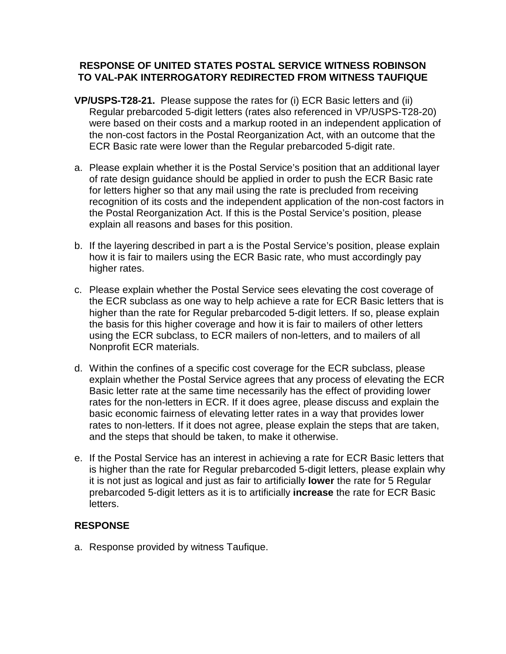## **RESPONSE OF UNITED STATES POSTAL SERVICE WITNESS ROBINSON TO VAL-PAK INTERROGATORY REDIRECTED FROM WITNESS TAUFIQUE**

- **VP/USPS-T28-21.** Please suppose the rates for (i) ECR Basic letters and (ii) Regular prebarcoded 5-digit letters (rates also referenced in VP/USPS-T28-20) were based on their costs and a markup rooted in an independent application of the non-cost factors in the Postal Reorganization Act, with an outcome that the ECR Basic rate were lower than the Regular prebarcoded 5-digit rate.
- a. Please explain whether it is the Postal Service's position that an additional layer of rate design guidance should be applied in order to push the ECR Basic rate for letters higher so that any mail using the rate is precluded from receiving recognition of its costs and the independent application of the non-cost factors in the Postal Reorganization Act. If this is the Postal Service's position, please explain all reasons and bases for this position.
- b. If the layering described in part a is the Postal Service's position, please explain how it is fair to mailers using the ECR Basic rate, who must accordingly pay higher rates.
- c. Please explain whether the Postal Service sees elevating the cost coverage of the ECR subclass as one way to help achieve a rate for ECR Basic letters that is higher than the rate for Regular prebarcoded 5-digit letters. If so, please explain the basis for this higher coverage and how it is fair to mailers of other letters using the ECR subclass, to ECR mailers of non-letters, and to mailers of all Nonprofit ECR materials.
- d. Within the confines of a specific cost coverage for the ECR subclass, please explain whether the Postal Service agrees that any process of elevating the ECR Basic letter rate at the same time necessarily has the effect of providing lower rates for the non-letters in ECR. If it does agree, please discuss and explain the basic economic fairness of elevating letter rates in a way that provides lower rates to non-letters. If it does not agree, please explain the steps that are taken, and the steps that should be taken, to make it otherwise.
- e. If the Postal Service has an interest in achieving a rate for ECR Basic letters that is higher than the rate for Regular prebarcoded 5-digit letters, please explain why it is not just as logical and just as fair to artificially **lower** the rate for 5 Regular prebarcoded 5-digit letters as it is to artificially **increase** the rate for ECR Basic letters.

### **RESPONSE**

a. Response provided by witness Taufique.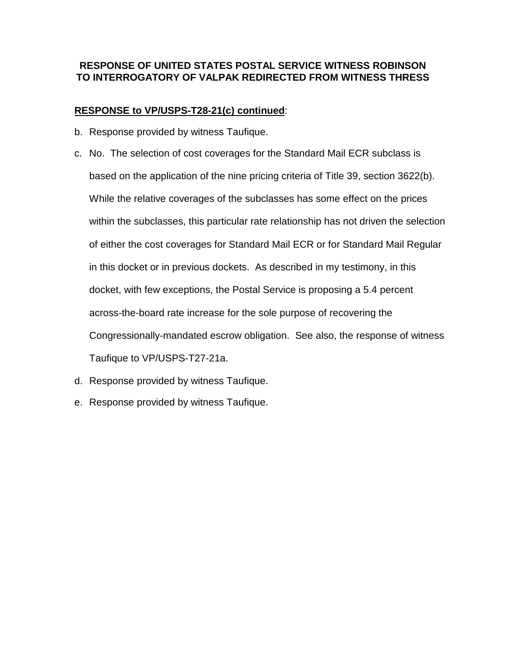# **RESPONSE OF UNITED STATES POSTAL SERVICE WITNESS ROBINSON TO INTERROGATORY OF VALPAK REDIRECTED FROM WITNESS THRESS**

## **RESPONSE to VP/USPS-T28-21(c) continued**:

- b. Response provided by witness Taufique.
- c. No. The selection of cost coverages for the Standard Mail ECR subclass is based on the application of the nine pricing criteria of Title 39, section 3622(b). While the relative coverages of the subclasses has some effect on the prices within the subclasses, this particular rate relationship has not driven the selection of either the cost coverages for Standard Mail ECR or for Standard Mail Regular in this docket or in previous dockets. As described in my testimony, in this docket, with few exceptions, the Postal Service is proposing a 5.4 percent across-the-board rate increase for the sole purpose of recovering the Congressionally-mandated escrow obligation. See also, the response of witness Taufique to VP/USPS-T27-21a.
- d. Response provided by witness Taufique.
- e. Response provided by witness Taufique.